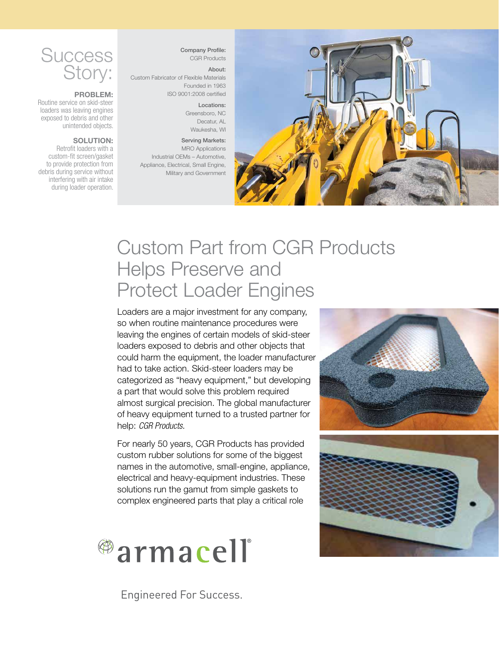

#### PROBLEM:

Routine service on skid-steer loaders was leaving engines exposed to debris and other unintended objects.

#### SOLUTION:

Retrofit loaders with a custom-fit screen/gasket to provide protection from debris during service without interfering with air intake during loader operation.

Company Profile: CGR Products

#### About:

Custom Fabricator of Flexible Materials Founded in 1963 ISO 9001:2008 certified

#### Locations:

Greensboro, NC Decatur, AL Waukesha, WI

#### Serving Markets: MRO Applications

Industrial OEMs – Automotive, Appliance, Electrical, Small Engine, Military and Government



# Custom Part from CGR Products Helps Preserve and Protect Loader Engines

Loaders are a major investment for any company, so when routine maintenance procedures were leaving the engines of certain models of skid-steer loaders exposed to debris and other objects that could harm the equipment, the loader manufacturer had to take action. Skid-steer loaders may be categorized as "heavy equipment," but developing a part that would solve this problem required almost surgical precision. The global manufacturer of heavy equipment turned to a trusted partner for help: *CGR Products*.

For nearly 50 years, CGR Products has provided custom rubber solutions for some of the biggest names in the automotive, small-engine, appliance, electrical and heavy-equipment industries. These solutions run the gamut from simple gaskets to complex engineered parts that play a critical role



Engineered For Success.

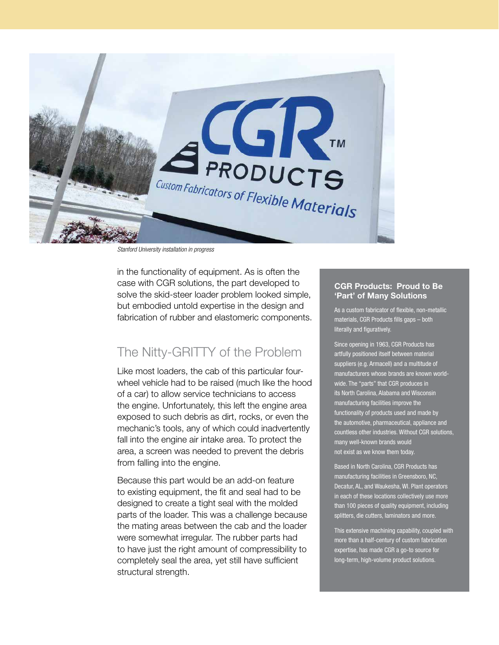

*Stanford University installation in progress*

in the functionality of equipment. As is often the case with CGR solutions, the part developed to solve the skid-steer loader problem looked simple, but embodied untold expertise in the design and fabrication of rubber and elastomeric components.

### The Nitty-GRITTY of the Problem

Like most loaders, the cab of this particular fourwheel vehicle had to be raised (much like the hood of a car) to allow service technicians to access the engine. Unfortunately, this left the engine area exposed to such debris as dirt, rocks, or even the mechanic's tools, any of which could inadvertently fall into the engine air intake area. To protect the area, a screen was needed to prevent the debris from falling into the engine.

Because this part would be an add-on feature to existing equipment, the fit and seal had to be designed to create a tight seal with the molded parts of the loader. This was a challenge because the mating areas between the cab and the loader were somewhat irregular. The rubber parts had to have just the right amount of compressibility to completely seal the area, yet still have sufficient structural strength.

#### CGR Products: Proud to Be 'Part' of Many Solutions

As a custom fabricator of flexible, non-metallic materials, CGR Products fills gaps – both literally and figuratively.

Since opening in 1963, CGR Products has artfully positioned itself between material suppliers (e.g. Armacell) and a multitude of manufacturers whose brands are known worldwide. The "parts" that CGR produces in its North Carolina, Alabama and Wisconsin manufacturing facilities improve the functionality of products used and made by the automotive, pharmaceutical, appliance and countless other industries. Without CGR solutions, many well-known brands would not exist as we know them today.

Based in North Carolina, CGR Products has manufacturing facilities in Greensboro, NC, Decatur, AL, and Waukesha, WI. Plant operators in each of these locations collectively use more than 100 pieces of quality equipment, including splitters, die cutters, laminators and more.

This extensive machining capability, coupled with more than a half-century of custom fabrication expertise, has made CGR a go-to source for long-term, high-volume product solutions.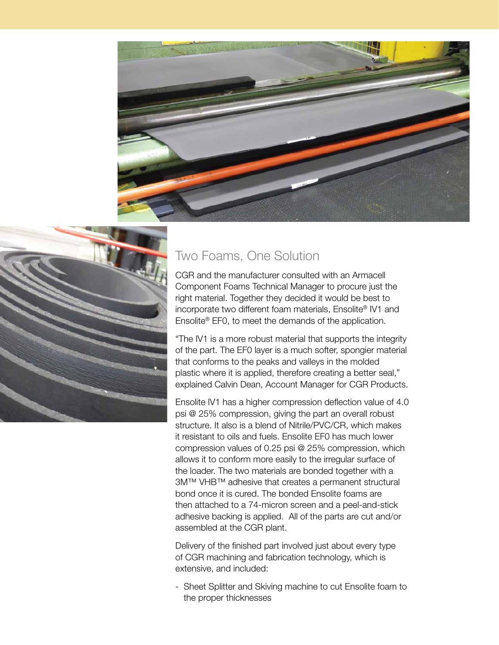



## Two Foams, One Solution

CGR and the manufacturer consulted with an Armacell Component Foams Technical Manager to procure just the right material. Together they decided it would be best to incorporate two different foam materials, Ensolite® IV1 and Ensolite® EF0, to meet the demands of the application.

"The IV1 is a more robust material that supports the integrity of the part. The EF0 layer is a much softer, spongier material that conforms to the peaks and valleys in the molded plastic where it is applied, therefore creating a better seal," explained Calvin Dean, Account Manager for CGR Products.

Ensolite IV1 has a higher compression deflection value of 4.0 psi @ 25% compression, giving the part an overall robust structure. It also is a blend of Nitrile/PVC/CR, which makes it resistant to oils and fuels. Ensolite EF0 has much lower compression values of 0.25 psi @ 25% compression, which allows it to conform more easily to the irregular surface of the loader. The two materials are bonded together with a 3M™ VHB™ adhesive that creates a permanent structural bond once it is cured. The bonded Ensolite foams are then attached to a 74-micron screen and a peel-and-stick adhesive backing is applied. All of the parts are cut and/or assembled at the CGR plant.

Delivery of the finished part involved just about every type of CGR machining and fabrication technology, which is extensive, and included:

- Sheet Splitter and Skiving machine to cut Ensolite foam to the proper thicknesses